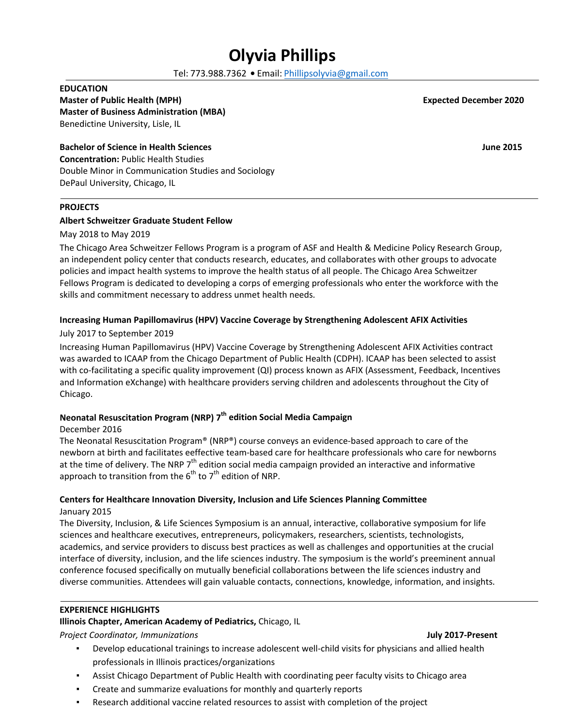# **Olyvia Phillips**

Tel: 773.988.7362 **•** Email[: Phillipsolyvia@](mailto:Phillipsolyvia@icloud.com)gmail.com

#### **EDUCATION**

#### **Master of Public Health (MPH) Expected December 2020 Master of Business Administration (MBA)**

Benedictine University, Lisle, IL

#### **Bachelor of Science in Health Sciences June 2015**

**Concentration:** Public Health Studies Double Minor in Communication Studies and Sociology DePaul University, Chicago, IL

#### **PROJECTS**

#### **Albert Schweitzer Graduate Student Fellow**

May 2018 to May 2019

The Chicago Area Schweitzer Fellows Program is a program of ASF and Health & Medicine Policy Research Group, an independent policy center that conducts research, educates, and collaborates with other groups to advocate policies and impact health systems to improve the health status of all people. The Chicago Area Schweitzer Fellows Program is dedicated to developing a corps of emerging professionals who enter the workforce with the skills and commitment necessary to address unmet health needs.

#### **Increasing Human Papillomavirus (HPV) Vaccine Coverage by Strengthening Adolescent AFIX Activities**

#### July 2017 to September 2019

Increasing Human Papillomavirus (HPV) Vaccine Coverage by Strengthening Adolescent AFIX Activities contract was awarded to ICAAP from the Chicago Department of Public Health (CDPH). ICAAP has been selected to assist with co-facilitating a specific quality improvement (QI) process known as AFIX (Assessment, Feedback, Incentives and Information eXchange) with healthcare providers serving children and adolescents throughout the City of Chicago.

### **Neonatal Resuscitation Program (NRP) 7th edition Social Media Campaign**

#### December 2016

The Neonatal Resuscitation Program® (NRP®) course conveys an evidence-based approach to care of the newborn at birth and facilitates eeffective team-based care for healthcare professionals who care for newborns at the time of delivery. The NRP 7<sup>th</sup> edition social media campaign provided an interactive and informative approach to transition from the  $6<sup>th</sup>$  to  $7<sup>th</sup>$  edition of NRP.

#### **Centers for Healthcare Innovation Diversity, Inclusion and Life Sciences Planning Committee**  January 2015

The Diversity, Inclusion, & Life Sciences Symposium is an annual, interactive, collaborative symposium for life sciences and healthcare executives, entrepreneurs, policymakers, researchers, scientists, technologists, academics, and service providers to discuss best practices as well as challenges and opportunities at the crucial interface of diversity, inclusion, and the life sciences industry. The symposium is the world's preeminent annual conference focused specifically on mutually beneficial collaborations between the life sciences industry and diverse communities. Attendees will gain valuable contacts, connections, knowledge, information, and insights.

#### **EXPERIENCE HIGHLIGHTS**

### **Illinois Chapter, American Academy of Pediatrics,** Chicago, IL

*Project Coordinator, Immunizations* **July 2017-Present**

- Develop educational trainings to increase adolescent well-child visits for physicians and allied health professionals in Illinois practices/organizations
- Assist Chicago Department of Public Health with coordinating peer faculty visits to Chicago area
- Create and summarize evaluations for monthly and quarterly reports
- Research additional vaccine related resources to assist with completion of the project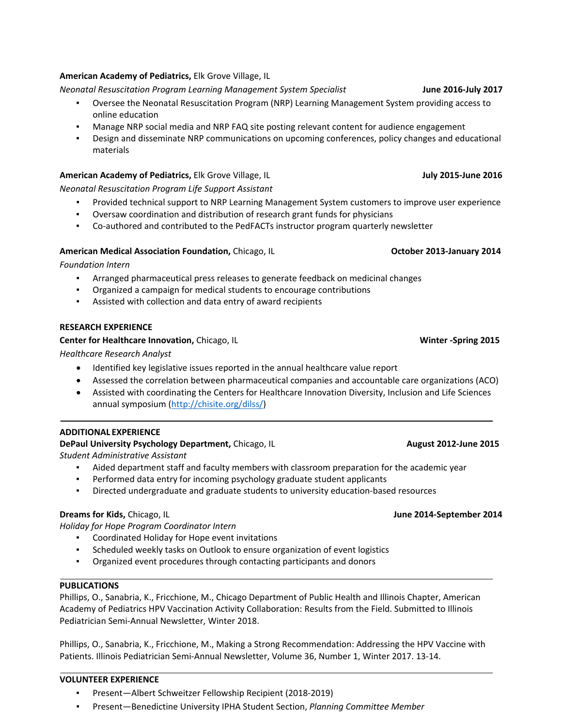### **VOLUNTEER EXPERIENCE**

- Present—Albert Schweitzer Fellowship Recipient (2018-2019)
- Present—Benedictine University IPHA Student Section, *Planning Committee Member*

#### **American Academy of Pediatrics,** Elk Grove Village, IL

*Neonatal Resuscitation Program Learning Management System Specialist* **June 2016-July 2017**

- Oversee the Neonatal Resuscitation Program (NRP) Learning Management System providing access to online education
- Manage NRP social media and NRP FAQ site posting relevant content for audience engagement
- **•** Design and disseminate NRP communications on upcoming conferences, policy changes and educational materials

#### **American Academy of Pediatrics,** Elk Grove Village, IL **July 2015-June 2016 July 2015-June 2016**

*Neonatal Resuscitation Program Life Support Assistant* 

- Provided technical support to NRP Learning Management System customers to improve user experience
- Oversaw coordination and distribution of research grant funds for physicians
- Co-authored and contributed to the PedFACTs instructor program quarterly newsletter

#### **American Medical Association Foundation, Chicago, IL Chicago, IL Chicago, 2013-January 2014**

*Foundation Intern* 

- Arranged pharmaceutical press releases to generate feedback on medicinal changes
- Organized a campaign for medical students to encourage contributions
- Assisted with collection and data entry of award recipients

#### **RESEARCH EXPERIENCE**

#### **Center for Healthcare Innovation, Chicago, IL** Winter -Spring 2015

*Healthcare Research Analyst*

- Identified key legislative issues reported in the annual healthcare value report
- Assessed the correlation between pharmaceutical companies and accountable care organizations (ACO)
- Assisted with coordinating the Centers for Healthcare Innovation Diversity, Inclusion and Life Sciences annual symposium [\(http://chisite.org/dilss/\)](http://chisite.org/dilss/)

#### **ADDITIONAL EXPERIENCE**

## **DePaul University Psychology Department, Chicago, IL <b>August 2012-June 2015** August 2012-June 2015

*Student Administrative Assistant* 

- Aided department staff and faculty members with classroom preparation for the academic year
- Performed data entry for incoming psychology graduate student applicants
- Directed undergraduate and graduate students to university education-based resources

*Holiday for Hope Program Coordinator Intern* 

- Coordinated Holiday for Hope event invitations
- Scheduled weekly tasks on Outlook to ensure organization of event logistics
- Organized event procedures through contacting participants and donors

#### **PUBLICATIONS**

Phillips, O., Sanabria, K., Fricchione, M., Chicago Department of Public Health and Illinois Chapter, American Academy of Pediatrics HPV Vaccination Activity Collaboration: Results from the Field. Submitted to Illinois Pediatrician Semi-Annual Newsletter, Winter 2018.

Phillips, O., Sanabria, K., Fricchione, M., Making a Strong Recommendation: Addressing the HPV Vaccine with Patients. Illinois Pediatrician Semi-Annual Newsletter, Volume 36, Number 1, Winter 2017. 13-14.

#### **Dreams for Kids, Chicago, IL June 2014-September 2014**